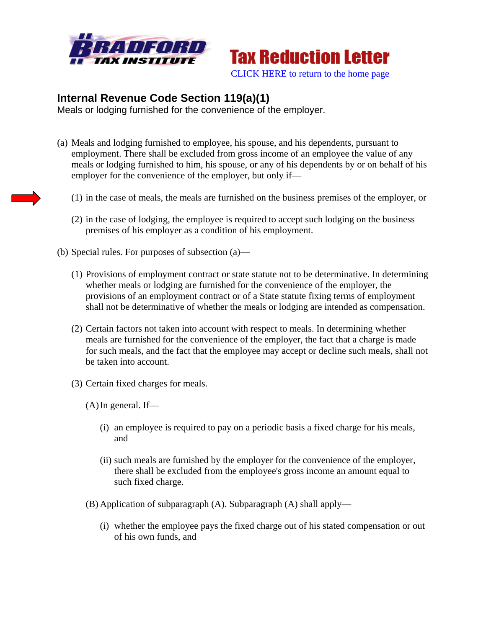



## **Internal Revenue Code Section 119(a)(1)**

Meals or lodging furnished for the convenience of the employer.

- (a) Meals and lodging furnished to employee, his spouse, and his dependents, pursuant to employment. There shall be excluded from gross income of an employee the value of any meals or lodging furnished to him, his spouse, or any of his dependents by or on behalf of his employer for the convenience of the employer, but only if—
	- (1) in the case of meals, the meals are furnished on the business premises of the employer, or
	- (2) in the case of lodging, the employee is required to accept such lodging on the business premises of his employer as a condition of his employment.
- (b) Special rules. For purposes of subsection (a)—
	- (1) Provisions of employment contract or state statute not to be determinative. In determining whether meals or lodging are furnished for the convenience of the employer, the provisions of an employment contract or of a State statute fixing terms of employment shall not be determinative of whether the meals or lodging are intended as compensation.
	- (2) Certain factors not taken into account with respect to meals. In determining whether meals are furnished for the convenience of the employer, the fact that a charge is made for such meals, and the fact that the employee may accept or decline such meals, shall not be taken into account.
	- (3) Certain fixed charges for meals.
		- $(A)$ In general. If—
			- (i) an employee is required to pay on a periodic basis a fixed charge for his meals, and
			- (ii) such meals are furnished by the employer for the convenience of the employer, there shall be excluded from the employee's gross income an amount equal to such fixed charge.
		- (B) Application of subparagraph (A). Subparagraph (A) shall apply—
			- (i) whether the employee pays the fixed charge out of his stated compensation or out of his own funds, and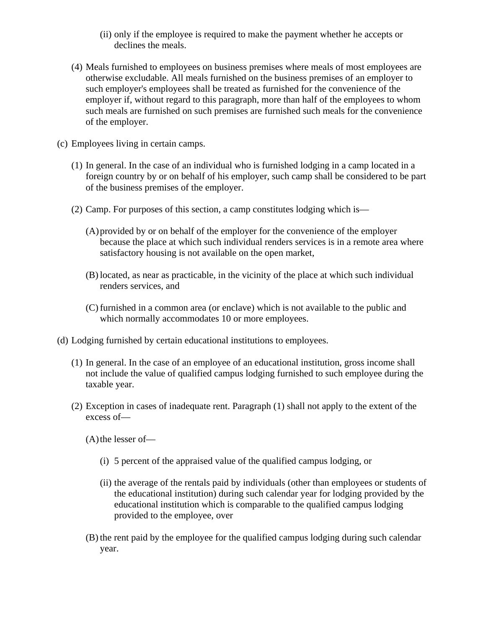- (ii) only if the employee is required to make the payment whether he accepts or declines the meals.
- (4) Meals furnished to employees on business premises where meals of most employees are otherwise excludable. All meals furnished on the business premises of an employer to such employer's employees shall be treated as furnished for the convenience of the employer if, without regard to this paragraph, more than half of the employees to whom such meals are furnished on such premises are furnished such meals for the convenience of the employer.
- (c) Employees living in certain camps.
	- (1) In general. In the case of an individual who is furnished lodging in a camp located in a foreign country by or on behalf of his employer, such camp shall be considered to be part of the business premises of the employer.
	- (2) Camp. For purposes of this section, a camp constitutes lodging which is—
		- (A)provided by or on behalf of the employer for the convenience of the employer because the place at which such individual renders services is in a remote area where satisfactory housing is not available on the open market,
		- (B) located, as near as practicable, in the vicinity of the place at which such individual renders services, and
		- (C) furnished in a common area (or enclave) which is not available to the public and which normally accommodates 10 or more employees.
- (d) Lodging furnished by certain educational institutions to employees.
	- (1) In general. In the case of an employee of an educational institution, gross income shall not include the value of qualified campus lodging furnished to such employee during the taxable year.
	- (2) Exception in cases of inadequate rent. Paragraph (1) shall not apply to the extent of the excess of—
		- $(A)$ the lesser of-
			- (i) 5 percent of the appraised value of the qualified campus lodging, or
			- (ii) the average of the rentals paid by individuals (other than employees or students of the educational institution) during such calendar year for lodging provided by the educational institution which is comparable to the qualified campus lodging provided to the employee, over
		- (B) the rent paid by the employee for the qualified campus lodging during such calendar year.